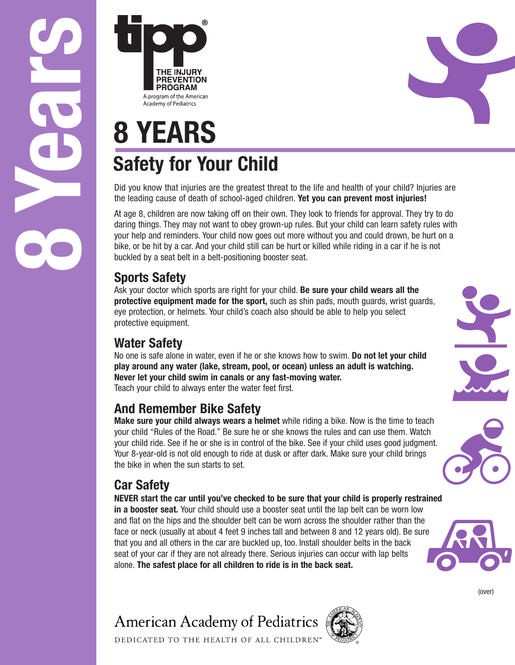**8Ye ars**



# **8 YEARS Safety for Your Child**

Did you know that injuries are the greatest threat to the life and health of your child? Injuries are the leading cause of death of school-aged children. **Yet you can prevent most injuries!**

At age 8, children are now taking off on their own. They look to friends for approval. They try to do daring things. They may not want to obey grown-up rules. But your child can learn safety rules with your help and reminders. Your child now goes out more without you and could drown, be hurt on a bike, or be hit by a car. And your child still can be hurt or killed while riding in a car if he is not buckled by a seat belt in a belt-positioning booster seat.

#### **Sports Safety**

Ask your doctor which sports are right for your child. **Be sure your child wears all the protective equipment made for the sport,** such as shin pads, mouth guards, wrist guards, eye protection, or helmets. Your child's coach also should be able to help you select protective equipment.

### **Water Safety**

No one is safe alone in water, even if he or she knows how to swim. **Do not let your child play around any water (lake, stream, pool, or ocean) unless an adult is watching. Never let your child swim in canals or any fast-moving water.** Teach your child to always enter the water feet first.

### **And Remember Bike Safety**

**Make sure your child always wears a helmet** while riding a bike. Now is the time to teach your child "Rules of the Road." Be sure he or she knows the rules and can use them. Watch your child ride. See if he or she is in control of the bike. See if your child uses good judgment. Your 8-year-old is not old enough to ride at dusk or after dark. Make sure your child brings the bike in when the sun starts to set.

## **Car Safety**

**NEVER start the car until you've checked to be sure that your child is properly restrained in a booster seat.** Your child should use a booster seat until the lap belt can be worn low and flat on the hips and the shoulder belt can be worn across the shoulder rather than the face or neck (usually at about 4 feet 9 inches tall and between 8 and 12 years old). Be sure that you and all others in the car are buckled up, too. Install shoulder belts in the back seat of your car if they are not already there. Serious injuries can occur with lap belts alone. **The safest place for all children to ride is in the back seat.**











(over)